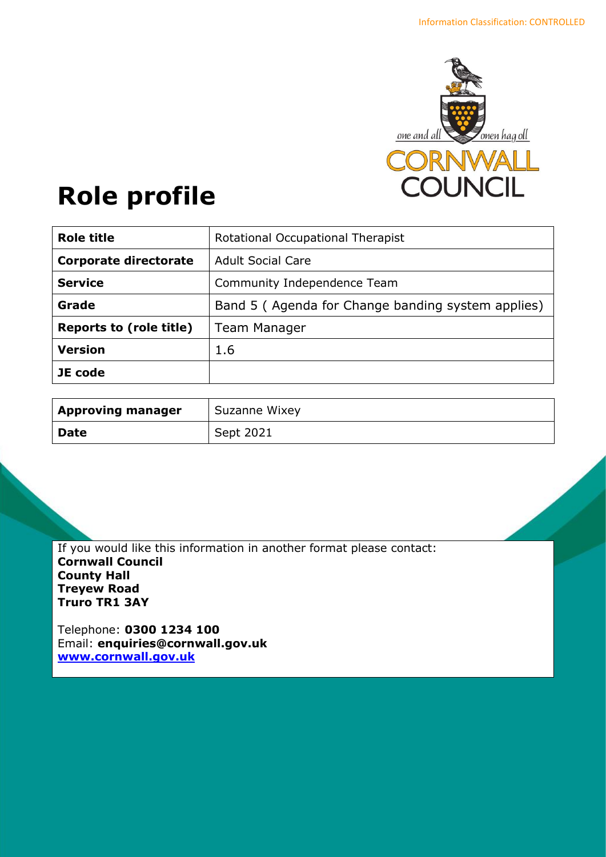

# **Role profile**

| <b>Role title</b>              | Rotational Occupational Therapist                 |
|--------------------------------|---------------------------------------------------|
| <b>Corporate directorate</b>   | <b>Adult Social Care</b>                          |
| <b>Service</b>                 | Community Independence Team                       |
| Grade                          | Band 5 (Agenda for Change banding system applies) |
| <b>Reports to (role title)</b> | <b>Team Manager</b>                               |
| <b>Version</b>                 | 1.6                                               |
| JE code                        |                                                   |

| <b>Approving manager</b> | Suzanne Wixey |
|--------------------------|---------------|
| <b>Date</b>              | Sept 2021     |

If you would like this information in another format please contact: **Cornwall Council County Hall Treyew Road Truro TR1 3AY**

Telephone: **0300 1234 100** Email: **[enquiries@cornwall.gov.uk](mailto:enquiries@cornwall.gov.uk) [www.cornwall.gov.uk](http://www.cornwall.gov.uk/)**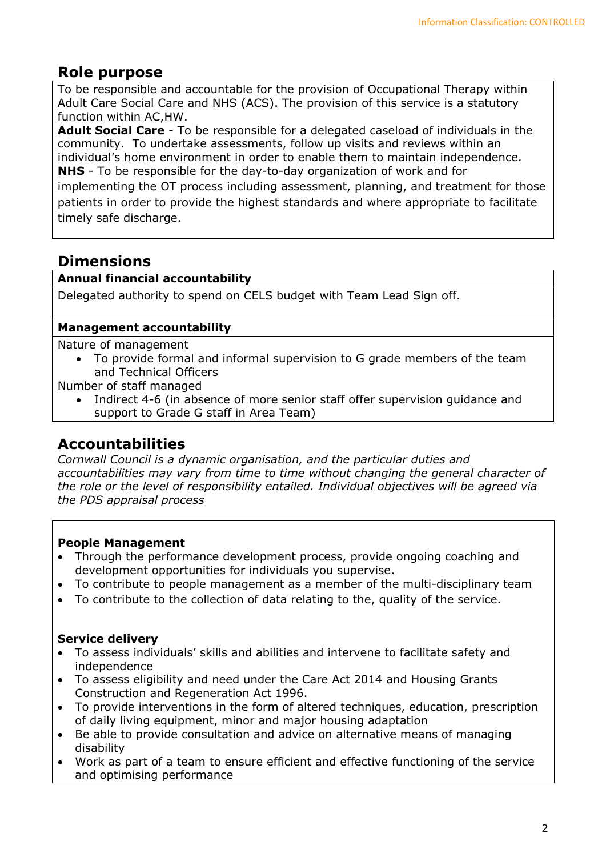# **Role purpose**

To be responsible and accountable for the provision of Occupational Therapy within Adult Care Social Care and NHS (ACS). The provision of this service is a statutory function within AC,HW.

**Adult Social Care** - To be responsible for a delegated caseload of individuals in the community. To undertake assessments, follow up visits and reviews within an individual's home environment in order to enable them to maintain independence. **NHS** - To be responsible for the day-to-day organization of work and for

implementing the OT process including assessment, planning, and treatment for those patients in order to provide the highest standards and where appropriate to facilitate timely safe discharge.

# **Dimensions**

## **Annual financial accountability**

Delegated authority to spend on CELS budget with Team Lead Sign off.

#### **Management accountability**

Nature of management

• To provide formal and informal supervision to G grade members of the team and Technical Officers

Number of staff managed

• Indirect 4-6 (in absence of more senior staff offer supervision guidance and support to Grade G staff in Area Team)

# **Accountabilities**

*Cornwall Council is a dynamic organisation, and the particular duties and accountabilities may vary from time to time without changing the general character of the role or the level of responsibility entailed. Individual objectives will be agreed via the PDS appraisal process* 

## **People Management**

- Through the performance development process, provide ongoing coaching and development opportunities for individuals you supervise.
- To contribute to people management as a member of the multi-disciplinary team
- To contribute to the collection of data relating to the, quality of the service.

## **Service delivery**

- To assess individuals' skills and abilities and intervene to facilitate safety and independence
- To assess eligibility and need under the Care Act 2014 and Housing Grants Construction and Regeneration Act 1996.
- To provide interventions in the form of altered techniques, education, prescription of daily living equipment, minor and major housing adaptation
- Be able to provide consultation and advice on alternative means of managing disability
- Work as part of a team to ensure efficient and effective functioning of the service and optimising performance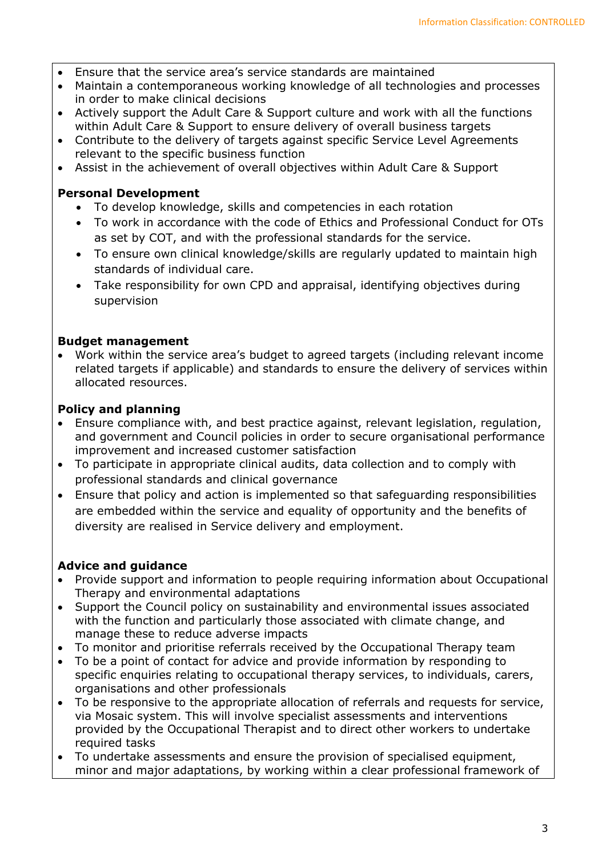- Ensure that the service area's service standards are maintained
- Maintain a contemporaneous working knowledge of all technologies and processes in order to make clinical decisions
- Actively support the Adult Care & Support culture and work with all the functions within Adult Care & Support to ensure delivery of overall business targets
- Contribute to the delivery of targets against specific Service Level Agreements relevant to the specific business function
- Assist in the achievement of overall objectives within Adult Care & Support

## **Personal Development**

- To develop knowledge, skills and competencies in each rotation
- To work in accordance with the code of Ethics and Professional Conduct for OTs as set by COT, and with the professional standards for the service.
- To ensure own clinical knowledge/skills are regularly updated to maintain high standards of individual care.
- Take responsibility for own CPD and appraisal, identifying objectives during supervision

# **Budget management**

• Work within the service area's budget to agreed targets (including relevant income related targets if applicable) and standards to ensure the delivery of services within allocated resources.

# **Policy and planning**

- Ensure compliance with, and best practice against, relevant legislation, regulation, and government and Council policies in order to secure organisational performance improvement and increased customer satisfaction
- To participate in appropriate clinical audits, data collection and to comply with professional standards and clinical governance
- Ensure that policy and action is implemented so that safeguarding responsibilities are embedded within the service and equality of opportunity and the benefits of diversity are realised in Service delivery and employment.

# **Advice and guidance**

- Provide support and information to people requiring information about Occupational Therapy and environmental adaptations
- Support the Council policy on sustainability and environmental issues associated with the function and particularly those associated with climate change, and manage these to reduce adverse impacts
- To monitor and prioritise referrals received by the Occupational Therapy team
- To be a point of contact for advice and provide information by responding to specific enquiries relating to occupational therapy services, to individuals, carers, organisations and other professionals
- To be responsive to the appropriate allocation of referrals and requests for service, via Mosaic system. This will involve specialist assessments and interventions provided by the Occupational Therapist and to direct other workers to undertake required tasks
- To undertake assessments and ensure the provision of specialised equipment, minor and major adaptations, by working within a clear professional framework of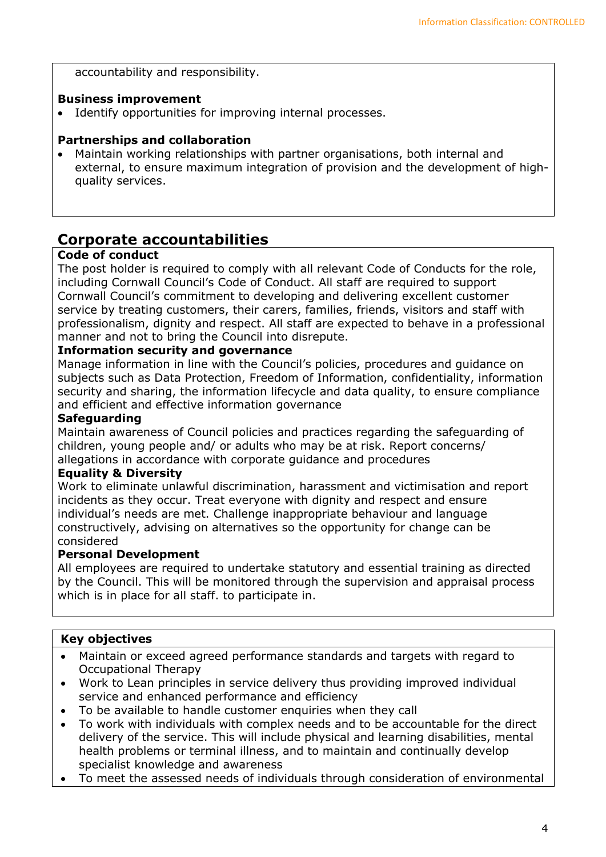accountability and responsibility.

#### **Business improvement**

• Identify opportunities for improving internal processes.

#### **Partnerships and collaboration**

• Maintain working relationships with partner organisations, both internal and external, to ensure maximum integration of provision and the development of highquality services.

# **Corporate accountabilities**

#### **Code of conduct**

The post holder is required to comply with all relevant Code of Conducts for the role, including Cornwall Council's Code of Conduct. All staff are required to support Cornwall Council's commitment to developing and delivering excellent customer service by treating customers, their carers, families, friends, visitors and staff with professionalism, dignity and respect. All staff are expected to behave in a professional manner and not to bring the Council into disrepute.

### **Information security and governance**

Manage information in line with the Council's policies, procedures and guidance on subjects such as Data Protection, Freedom of Information, confidentiality, information security and sharing, the information lifecycle and data quality, to ensure compliance and efficient and effective information governance

#### **Safeguarding**

Maintain awareness of Council policies and practices regarding the safeguarding of children, young people and/ or adults who may be at risk. Report concerns/ allegations in accordance with corporate guidance and procedures

#### **Equality & Diversity**

Work to eliminate unlawful discrimination, harassment and victimisation and report incidents as they occur. Treat everyone with dignity and respect and ensure individual's needs are met. Challenge inappropriate behaviour and language constructively, advising on alternatives so the opportunity for change can be considered

#### **Personal Development**

All employees are required to undertake statutory and essential training as directed by the Council. This will be monitored through the supervision and appraisal process which is in place for all staff. to participate in.

#### **Key objectives**

- Maintain or exceed agreed performance standards and targets with regard to Occupational Therapy
- Work to Lean principles in service delivery thus providing improved individual service and enhanced performance and efficiency
- To be available to handle customer enquiries when they call
- To work with individuals with complex needs and to be accountable for the direct delivery of the service. This will include physical and learning disabilities, mental health problems or terminal illness, and to maintain and continually develop specialist knowledge and awareness
- To meet the assessed needs of individuals through consideration of environmental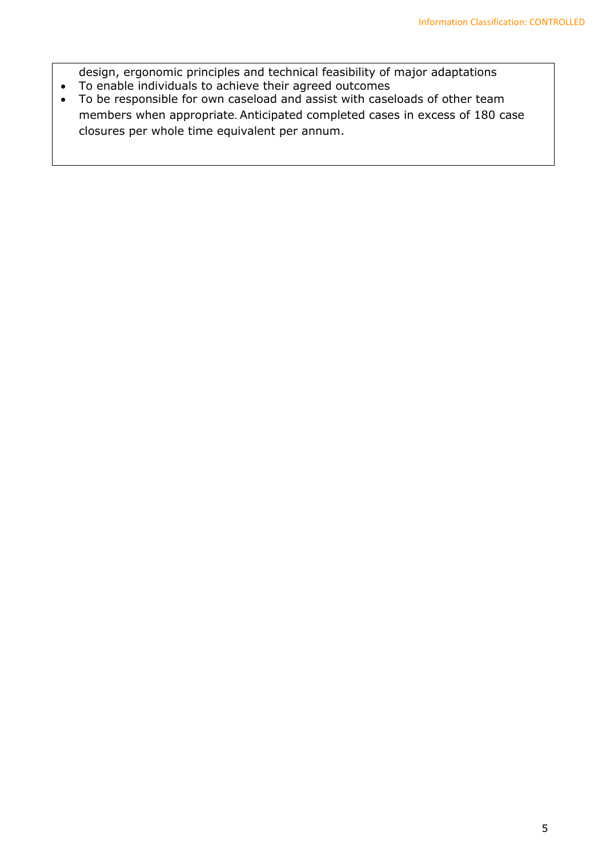design, ergonomic principles and technical feasibility of major adaptations • To enable individuals to achieve their agreed outcomes

• To be responsible for own caseload and assist with caseloads of other team members when appropriate. Anticipated completed cases in excess of 180 case closures per whole time equivalent per annum.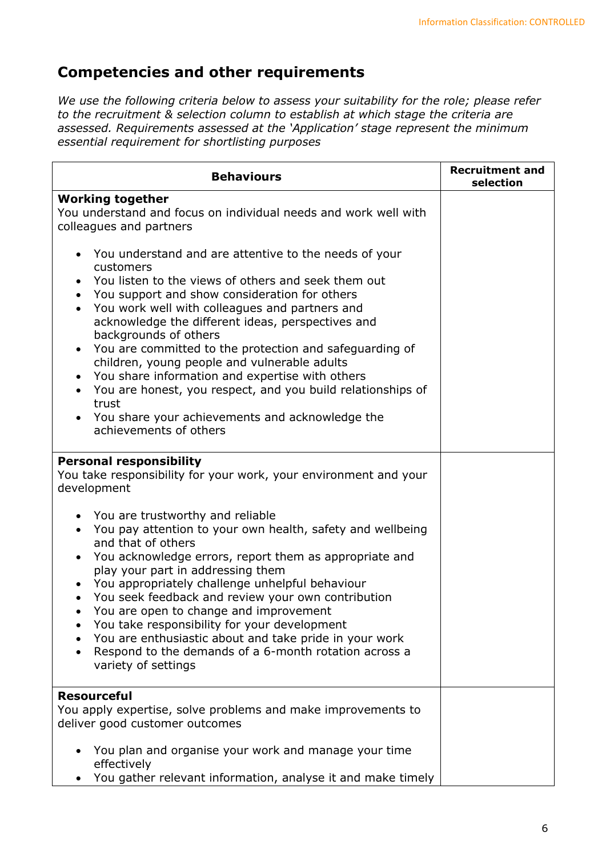# **Competencies and other requirements**

*We use the following criteria below to assess your suitability for the role; please refer to the recruitment & selection column to establish at which stage the criteria are assessed. Requirements assessed at the 'Application' stage represent the minimum essential requirement for shortlisting purposes*

| <b>Behaviours</b>                                                                                                                                                                                                                                                                                                                                                                                                                                                                                                                                                                                                                                                                              | <b>Recruitment and</b><br>selection |
|------------------------------------------------------------------------------------------------------------------------------------------------------------------------------------------------------------------------------------------------------------------------------------------------------------------------------------------------------------------------------------------------------------------------------------------------------------------------------------------------------------------------------------------------------------------------------------------------------------------------------------------------------------------------------------------------|-------------------------------------|
| <b>Working together</b><br>You understand and focus on individual needs and work well with<br>colleagues and partners                                                                                                                                                                                                                                                                                                                                                                                                                                                                                                                                                                          |                                     |
| You understand and are attentive to the needs of your<br>customers<br>You listen to the views of others and seek them out<br>$\bullet$<br>You support and show consideration for others<br>$\bullet$<br>You work well with colleagues and partners and<br>$\bullet$<br>acknowledge the different ideas, perspectives and<br>backgrounds of others<br>You are committed to the protection and safeguarding of<br>$\bullet$<br>children, young people and vulnerable adults<br>You share information and expertise with others<br>You are honest, you respect, and you build relationships of<br>trust<br>You share your achievements and acknowledge the<br>$\bullet$<br>achievements of others |                                     |
| <b>Personal responsibility</b><br>You take responsibility for your work, your environment and your<br>development                                                                                                                                                                                                                                                                                                                                                                                                                                                                                                                                                                              |                                     |
| • You are trustworthy and reliable<br>You pay attention to your own health, safety and wellbeing<br>$\bullet$<br>and that of others<br>You acknowledge errors, report them as appropriate and<br>$\bullet$<br>play your part in addressing them<br>You appropriately challenge unhelpful behaviour<br>You seek feedback and review your own contribution<br>You are open to change and improvement<br>$\bullet$<br>You take responsibility for your development<br>You are enthusiastic about and take pride in your work<br>Respond to the demands of a 6-month rotation across a<br>variety of settings                                                                                      |                                     |
| <b>Resourceful</b><br>You apply expertise, solve problems and make improvements to<br>deliver good customer outcomes                                                                                                                                                                                                                                                                                                                                                                                                                                                                                                                                                                           |                                     |
| You plan and organise your work and manage your time<br>effectively<br>You gather relevant information, analyse it and make timely                                                                                                                                                                                                                                                                                                                                                                                                                                                                                                                                                             |                                     |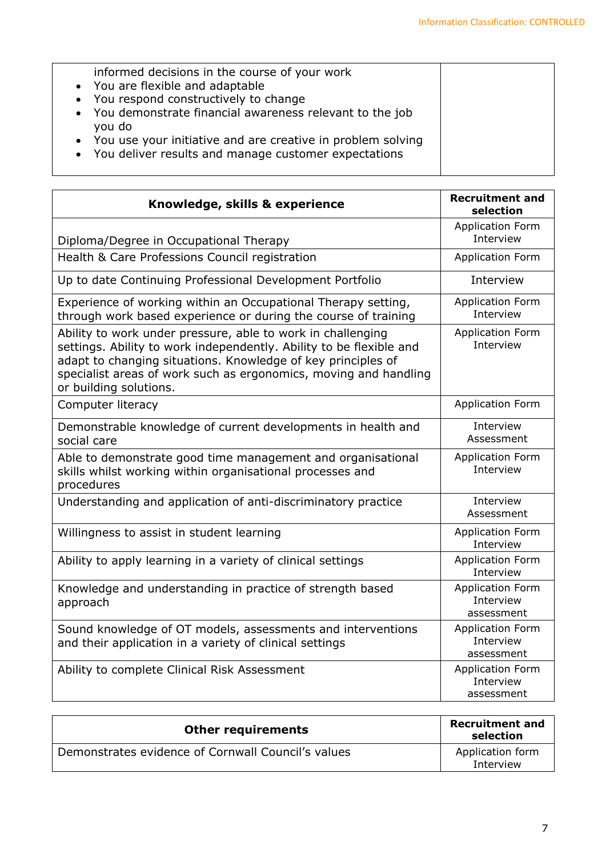| informed decisions in the course of your work                 |  |
|---------------------------------------------------------------|--|
| • You are flexible and adaptable                              |  |
| • You respond constructively to change                        |  |
| • You demonstrate financial awareness relevant to the job     |  |
| you do                                                        |  |
| • You use your initiative and are creative in problem solving |  |
| • You deliver results and manage customer expectations        |  |
|                                                               |  |

| Knowledge, skills & experience                                                                                                                                                                                                                                                                   | <b>Recruitment and</b><br>selection                |
|--------------------------------------------------------------------------------------------------------------------------------------------------------------------------------------------------------------------------------------------------------------------------------------------------|----------------------------------------------------|
| Diploma/Degree in Occupational Therapy                                                                                                                                                                                                                                                           | <b>Application Form</b><br>Interview               |
| Health & Care Professions Council registration                                                                                                                                                                                                                                                   | <b>Application Form</b>                            |
| Up to date Continuing Professional Development Portfolio                                                                                                                                                                                                                                         | Interview                                          |
| Experience of working within an Occupational Therapy setting,<br>through work based experience or during the course of training                                                                                                                                                                  | <b>Application Form</b><br>Interview               |
| Ability to work under pressure, able to work in challenging<br>settings. Ability to work independently. Ability to be flexible and<br>adapt to changing situations. Knowledge of key principles of<br>specialist areas of work such as ergonomics, moving and handling<br>or building solutions. | <b>Application Form</b><br>Interview               |
| Computer literacy                                                                                                                                                                                                                                                                                | <b>Application Form</b>                            |
| Demonstrable knowledge of current developments in health and<br>social care                                                                                                                                                                                                                      | Interview<br>Assessment                            |
| Able to demonstrate good time management and organisational<br>skills whilst working within organisational processes and<br>procedures                                                                                                                                                           | <b>Application Form</b><br>Interview               |
| Understanding and application of anti-discriminatory practice                                                                                                                                                                                                                                    | Interview<br>Assessment                            |
| Willingness to assist in student learning                                                                                                                                                                                                                                                        | <b>Application Form</b><br>Interview               |
| Ability to apply learning in a variety of clinical settings                                                                                                                                                                                                                                      | <b>Application Form</b><br>Interview               |
| Knowledge and understanding in practice of strength based<br>approach                                                                                                                                                                                                                            | <b>Application Form</b><br>Interview<br>assessment |
| Sound knowledge of OT models, assessments and interventions<br>and their application in a variety of clinical settings                                                                                                                                                                           | <b>Application Form</b><br>Interview<br>assessment |
| Ability to complete Clinical Risk Assessment                                                                                                                                                                                                                                                     | <b>Application Form</b><br>Interview<br>assessment |

| <b>Other requirements</b>                          | <b>Recruitment and</b><br>selection |
|----------------------------------------------------|-------------------------------------|
| Demonstrates evidence of Cornwall Council's values | Application form<br>Interview       |